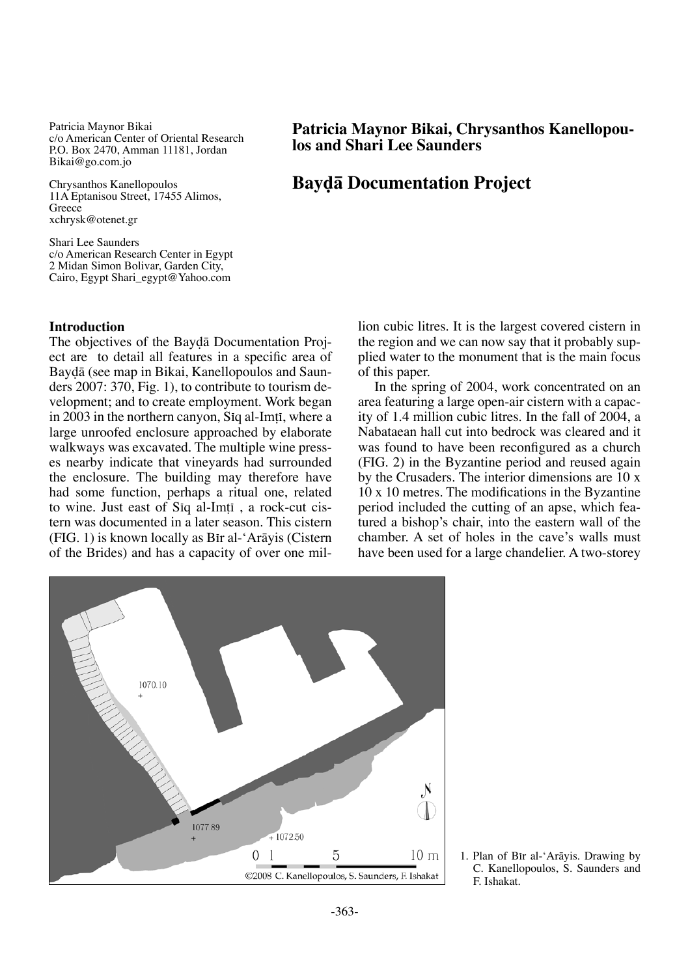Patricia Maynor Bikai c/o American Center of Oriental Research P.O. Box 2470, Amman 11181, Jordan Bikai@go.com.jo

Chrysanthos Kanellopoulos 11A Eptanisou Street, 17455 Alimos, Greece xchrysk@otenet.gr

Shari Lee Saunders c/o American Research Center in Egypt 2 Midan Simon Bolivar, Garden City, Cairo, Egypt Shari\_egypt@Yahoo.com

# **Introduction**

The objectives of the Bayda Documentation Project are to detail all features in a specific area of Bay∂å (see map in Bikai, Kanellopoulos and Saunders 2007: 370, Fig. 1), to contribute to tourism development; and to create employment. Work began in 2003 in the northern canyon, Siq al-Imti, where a large unroofed enclosure approached by elaborate walkways was excavated. The multiple wine presses nearby indicate that vineyards had surrounded the enclosure. The building may therefore have had some function, perhaps a ritual one, related to wine. Just east of Siq al-Imti, a rock-cut cistern was documented in a later season. This cistern (FIG. 1) is known locally as Bπr al-'Aråyis (Cistern of the Brides) and has a capacity of over one mil-

**Patricia Maynor Bikai, Chrysanthos Kanellopou- los and Shari Lee Saunders**

# **Bay∂å Documentation Project**

lion cubic litres. It is the largest covered cistern in the region and we can now say that it probably supplied water to the monument that is the main focus of this paper.

In the spring of 2004, work concentrated on an area featuring a large open-air cistern with a capacity of 1.4 million cubic litres. In the fall of 2004, a Nabataean hall cut into bedrock was cleared and it was found to have been reconfigured as a church (FIG. 2) in the Byzantine period and reused again by the Crusaders. The interior dimensions are 10 x 10 x 10 metres. The modifications in the Byzantine period included the cutting of an apse, which featured a bishop's chair, into the eastern wall of the chamber. A set of holes in the cave's walls must have been used for a large chandelier. A two-storey

-363-

1. Plan of Bir al-'Arāyis. Drawing by C. Kanellopoulos, S. Saunders and F. Ishakat.

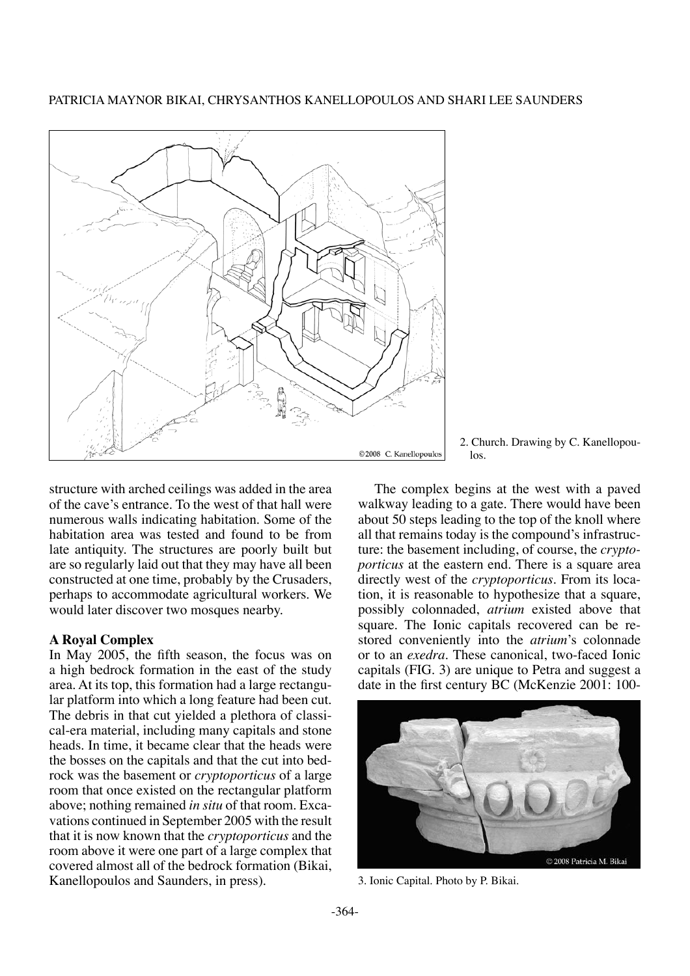Patricia Maynor Bikai, Chrysanthos Kanellopoulos and Shari Lee Saunders



2. Church. Drawing by C. Kanellopoulos.

structure with arched ceilings was added in the area of the cave's entrance. To the west of that hall were numerous walls indicating habitation. Some of the habitation area was tested and found to be from late antiquity. The structures are poorly built but are so regularly laid out that they may have all been constructed at one time, probably by the Crusaders, perhaps to accommodate agricultural workers. We would later discover two mosques nearby.

## **A Royal Complex**

In May 2005, the fifth season, the focus was on a high bedrock formation in the east of the study area. At its top, this formation had a large rectangular platform into which a long feature had been cut. The debris in that cut yielded a plethora of classical-era material, including many capitals and stone heads. In time, it became clear that the heads were the bosses on the capitals and that the cut into bedrock was the basement or *cryptoporticus* of a large room that once existed on the rectangular platform above; nothing remained *in situ* of that room. Excavations continued in September 2005 with the result that it is now known that the *cryptoporticus* and the room above it were one part of a large complex that covered almost all of the bedrock formation (Bikai, Kanellopoulos and Saunders, in press).

The complex begins at the west with a paved walkway leading to a gate. There would have been about 50 steps leading to the top of the knoll where all that remains today is the compound's infrastructure: the basement including, of course, the *cryptoporticus* at the eastern end. There is a square area directly west of the *cryptoporticus*. From its location, it is reasonable to hypothesize that a square, possibly colonnaded, *atrium* existed above that square. The Ionic capitals recovered can be restored conveniently into the *atrium*'s colonnade or to an *exedra*. These canonical, two-faced Ionic capitals (FIG. 3) are unique to Petra and suggest a date in the first century BC (McKenzie 2001: 100-



3. Ionic Capital. Photo by P. Bikai.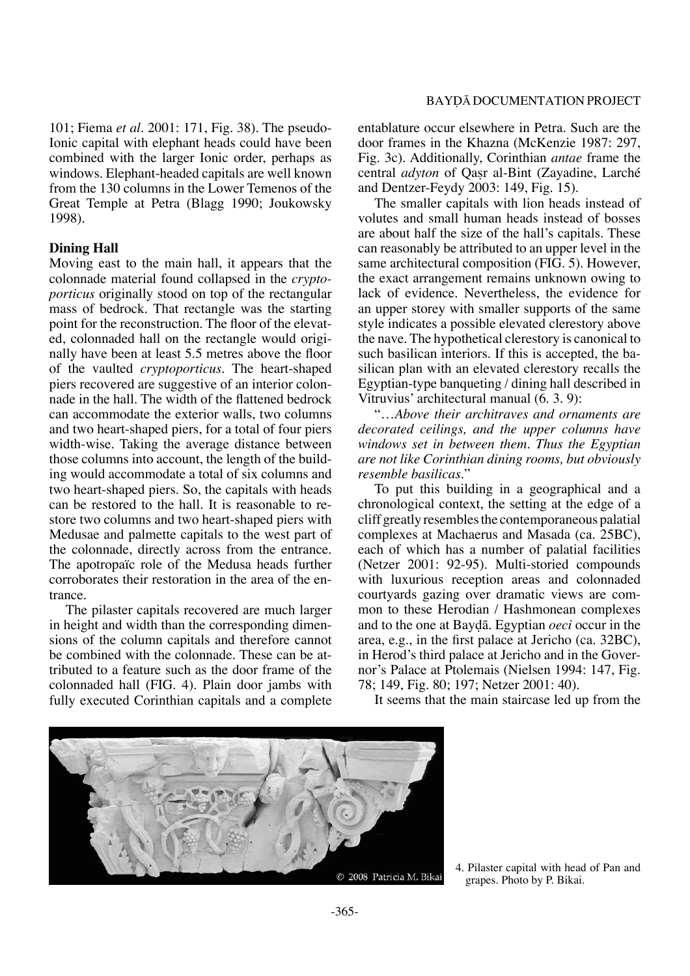101; Fiema *et al*. 2001: 171, Fig. 38). The pseudo-Ionic capital with elephant heads could have been combined with the larger Ionic order, perhaps as windows. Elephant-headed capitals are well known from the 130 columns in the Lower Temenos of the Great Temple at Petra (Blagg 1990; Joukowsky 1998).

#### **Dining Hall**

Moving east to the main hall, it appears that the colonnade material found collapsed in the *cryptoporticus* originally stood on top of the rectangular mass of bedrock. That rectangle was the starting point for the reconstruction. The floor of the elevated, colonnaded hall on the rectangle would originally have been at least 5.5 metres above the floor of the vaulted *cryptoporticus*. The heart-shaped piers recovered are suggestive of an interior colonnade in the hall. The width of the flattened bedrock can accommodate the exterior walls, two columns and two heart-shaped piers, for a total of four piers width-wise. Taking the average distance between those columns into account, the length of the building would accommodate a total of six columns and two heart-shaped piers. So, the capitals with heads can be restored to the hall. It is reasonable to restore two columns and two heart-shaped piers with Medusae and palmette capitals to the west part of the colonnade, directly across from the entrance. The apotropaïc role of the Medusa heads further corroborates their restoration in the area of the entrance.

The pilaster capitals recovered are much larger in height and width than the corresponding dimensions of the column capitals and therefore cannot be combined with the colonnade. These can be attributed to a feature such as the door frame of the colonnaded hall (FIG. 4). Plain door jambs with fully executed Corinthian capitals and a complete entablature occur elsewhere in Petra. Such are the door frames in the Khazna (McKenzie 1987: 297, Fig. 3c). Additionally, Corinthian *antae* frame the central *adyton* of Qasr al-Bint (Zayadine, Larché and Dentzer-Feydy 2003: 149, Fig. 15).

The smaller capitals with lion heads instead of volutes and small human heads instead of bosses are about half the size of the hall's capitals. These can reasonably be attributed to an upper level in the same architectural composition (FIG. 5). However, the exact arrangement remains unknown owing to lack of evidence. Nevertheless, the evidence for an upper storey with smaller supports of the same style indicates a possible elevated clerestory above the nave. The hypothetical clerestory is canonical to such basilican interiors. If this is accepted, the basilican plan with an elevated clerestory recalls the Egyptian-type banqueting / dining hall described in Vitruvius' architectural manual (6. 3. 9):

"…*Above their architraves and ornaments are decorated ceilings, and the upper columns have windows set in between them. Thus the Egyptian are not like Corinthian dining rooms, but obviously resemble basilicas.*"

To put this building in a geographical and a chronological context, the setting at the edge of a cliff greatly resembles the contemporaneous palatial complexes at Machaerus and Masada (ca. 25BC), each of which has a number of palatial facilities (Netzer 2001: 92-95). Multi-storied compounds with luxurious reception areas and colonnaded courtyards gazing over dramatic views are common to these Herodian / Hashmonean complexes and to the one at Bay∂å. Egyptian *oeci* occur in the area, e.g., in the first palace at Jericho (ca. 32BC), in Herod's third palace at Jericho and in the Governor's Palace at Ptolemais (Nielsen 1994: 147, Fig. 78; 149, Fig. 80; 197; Netzer 2001: 40).

It seems that the main staircase led up from the



4. Pilaster capital with head of Pan and grapes. Photo by P. Bikai.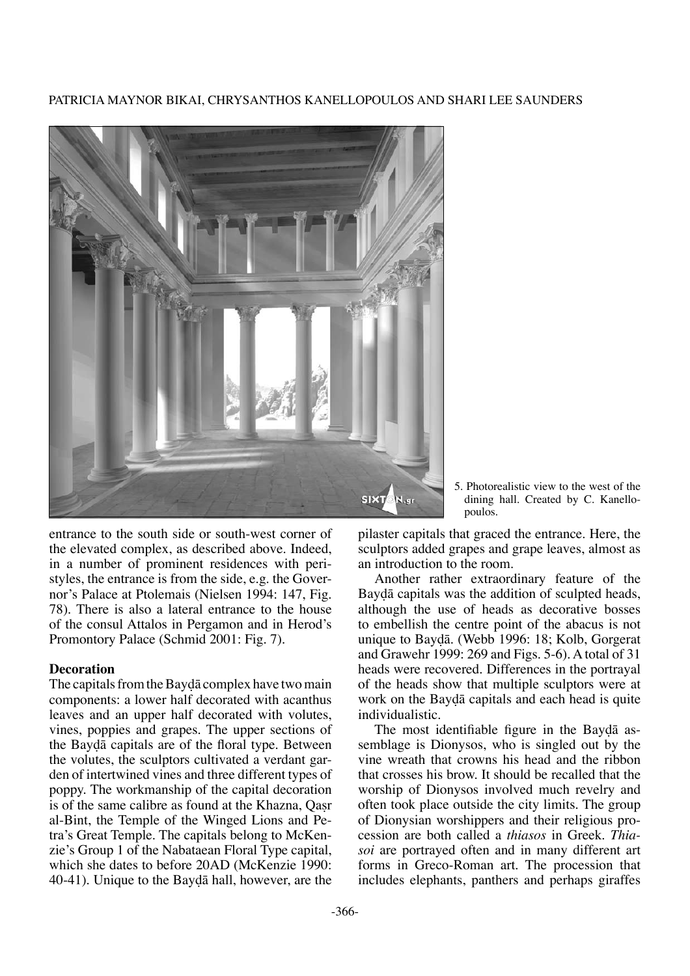Patricia Maynor Bikai, Chrysanthos Kanellopoulos and Shari Lee Saunders



entrance to the south side or south-west corner of the elevated complex, as described above. Indeed, in a number of prominent residences with peristyles, the entrance is from the side, e.g. the Governor's Palace at Ptolemais (Nielsen 1994: 147, Fig. 78). There is also a lateral entrance to the house of the consul Attalos in Pergamon and in Herod's Promontory Palace (Schmid 2001: Fig. 7).

## **Decoration**

The capitals from the Baydā complex have two main components: a lower half decorated with acanthus leaves and an upper half decorated with volutes, vines, poppies and grapes. The upper sections of the Bay∂å capitals are of the floral type. Between the volutes, the sculptors cultivated a verdant garden of intertwined vines and three different types of poppy. The workmanship of the capital decoration is of the same calibre as found at the Khazna, Oasr al-Bint, the Temple of the Winged Lions and Petra's Great Temple. The capitals belong to McKenzie's Group 1 of the Nabataean Floral Type capital, which she dates to before 20AD (McKenzie 1990: 40-41). Unique to the Bay∂å hall, however, are the

5. Photorealistic view to the west of the dining hall. Created by C. Kanellopoulos.

pilaster capitals that graced the entrance. Here, the sculptors added grapes and grape leaves, almost as an introduction to the room.

Another rather extraordinary feature of the Bay∂å capitals was the addition of sculpted heads, although the use of heads as decorative bosses to embellish the centre point of the abacus is not unique to Bay∂å. (Webb 1996: 18; Kolb, Gorgerat and Grawehr 1999: 269 and Figs. 5-6). A total of 31 heads were recovered. Differences in the portrayal of the heads show that multiple sculptors were at work on the Baydā capitals and each head is quite individualistic.

The most identifiable figure in the Bayda assemblage is Dionysos, who is singled out by the vine wreath that crowns his head and the ribbon that crosses his brow. It should be recalled that the worship of Dionysos involved much revelry and often took place outside the city limits. The group of Dionysian worshippers and their religious procession are both called a *thiasos* in Greek. *Thiasoi* are portrayed often and in many different art forms in Greco-Roman art. The procession that includes elephants, panthers and perhaps giraffes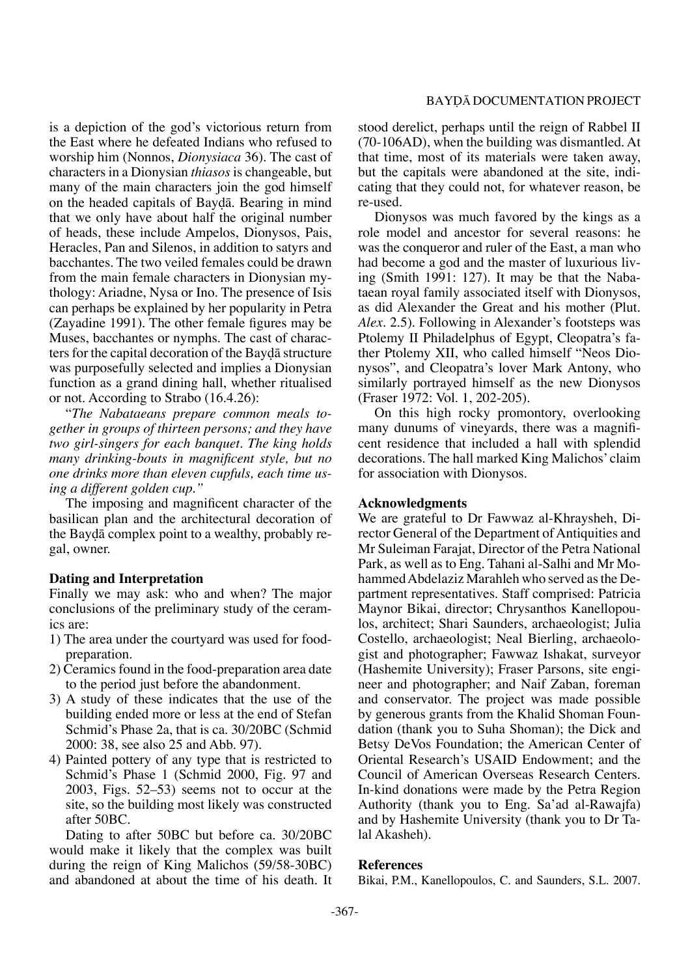is a depiction of the god's victorious return from the East where he defeated Indians who refused to worship him (Nonnos, *Dionysiaca* 36). The cast of characters in a Dionysian *thiasos* is changeable, but many of the main characters join the god himself on the headed capitals of Bay∂å. Bearing in mind that we only have about half the original number of heads, these include Ampelos, Dionysos, Pais, Heracles, Pan and Silenos, in addition to satyrs and bacchantes. The two veiled females could be drawn from the main female characters in Dionysian mythology: Ariadne, Nysa or Ino. The presence of Isis can perhaps be explained by her popularity in Petra (Zayadine 1991). The other female figures may be Muses, bacchantes or nymphs. The cast of characters for the capital decoration of the Baydā structure was purposefully selected and implies a Dionysian function as a grand dining hall, whether ritualised or not. According to Strabo (16.4.26):

"*The Nabataeans prepare common meals together in groups of thirteen persons; and they have two girl-singers for each banquet. The king holds many drinking-bouts in magnificent style, but no one drinks more than eleven cupfuls, each time using a different golden cup."*

The imposing and magnificent character of the basilican plan and the architectural decoration of the Bay∂å complex point to a wealthy, probably regal, owner.

## **Dating and Interpretation**

Finally we may ask: who and when? The major conclusions of the preliminary study of the ceramics are:

- 1) The area under the courtyard was used for foodpreparation.
- 2) Ceramics found in the food-preparation area date to the period just before the abandonment.
- 3) A study of these indicates that the use of the building ended more or less at the end of Stefan Schmid's Phase 2a, that is ca. 30/20BC (Schmid 2000: 38, see also 25 and Abb. 97).
- 4) Painted pottery of any type that is restricted to Schmid's Phase 1 (Schmid 2000, Fig. 97 and 2003, Figs. 52–53) seems not to occur at the site, so the building most likely was constructed after 50BC.

Dating to after 50BC but before ca. 30/20BC would make it likely that the complex was built during the reign of King Malichos (59/58-30BC) and abandoned at about the time of his death. It stood derelict, perhaps until the reign of Rabbel II (70-106AD), when the building was dismantled. At that time, most of its materials were taken away, but the capitals were abandoned at the site, indicating that they could not, for whatever reason, be re-used.

Dionysos was much favored by the kings as a role model and ancestor for several reasons: he was the conqueror and ruler of the East, a man who had become a god and the master of luxurious living (Smith 1991: 127). It may be that the Nabataean royal family associated itself with Dionysos, as did Alexander the Great and his mother (Plut. *Alex*. 2.5). Following in Alexander's footsteps was Ptolemy II Philadelphus of Egypt, Cleopatra's father Ptolemy XII, who called himself "Neos Dionysos", and Cleopatra's lover Mark Antony, who similarly portrayed himself as the new Dionysos (Fraser 1972: Vol. 1, 202-205).

On this high rocky promontory, overlooking many dunums of vineyards, there was a magnificent residence that included a hall with splendid decorations. The hall marked King Malichos' claim for association with Dionysos.

#### **Acknowledgments**

We are grateful to Dr Fawwaz al-Khraysheh, Director General of the Department of Antiquities and Mr Suleiman Farajat, Director of the Petra National Park, as well as to Eng. Tahani al-Salhi and Mr Mohammed Abdelaziz Marahleh who served as the Department representatives. Staff comprised: Patricia Maynor Bikai, director; Chrysanthos Kanellopoulos, architect; Shari Saunders, archaeologist; Julia Costello, archaeologist; Neal Bierling, archaeologist and photographer; Fawwaz Ishakat, surveyor (Hashemite University); Fraser Parsons, site engineer and photographer; and Naif Zaban, foreman and conservator. The project was made possible by generous grants from the Khalid Shoman Foundation (thank you to Suha Shoman); the Dick and Betsy DeVos Foundation; the American Center of Oriental Research's USAID Endowment; and the Council of American Overseas Research Centers. In-kind donations were made by the Petra Region Authority (thank you to Eng. Sa'ad al-Rawajfa) and by Hashemite University (thank you to Dr Talal Akasheh).

## **References**

Bikai, P.M., Kanellopoulos, C. and Saunders, S.L. 2007.